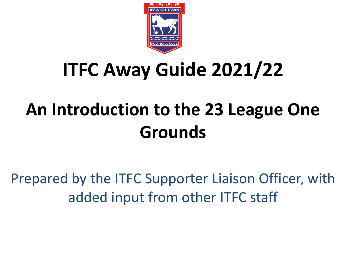

# **ITFC Away Guide 2021/22**

# **An Introduction to the 23 League One Grounds**

Prepared by the ITFC Supporter Liaison Officer, with added input from other ITFC staff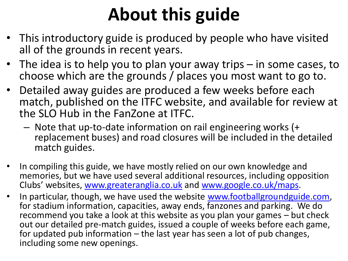# **About this guide**

- This introductory guide is produced by people who have visited all of the grounds in recent years.
- The idea is to help you to plan your away trips in some cases, to choose which are the grounds / places you most want to go to.
- Detailed away guides are produced a few weeks before each match, published on the ITFC website, and available for review at the SLO Hub in the FanZone at ITFC.
	- Note that up-to-date information on rail engineering works (+ replacement buses) and road closures will be included in the detailed match guides.
- In compiling this guide, we have mostly relied on our own knowledge and memories, but we have used several additional resources, including opposition Clubs' websites, [www.greateranglia.co.uk](http://www.greateranglia.co.uk/) and [www.google.co.uk/maps](http://www.google.co.uk/maps).
- In particular, though, we have used the website [www.footballgroundguide.com](http://www.footballgroundguide.com/), for stadium information, capacities, away ends, fanzones and parking. We do recommend you take a look at this website as you plan your games – but check out our detailed pre-match guides, issued a couple of weeks before each game, for updated pub information – the last year has seen a lot of pub changes, including some new openings.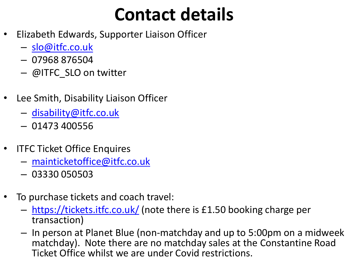# **Contact details**

- Elizabeth Edwards, Supporter Liaison Officer
	- [slo@itfc.co.uk](mailto:slo@itfc.co.uk)
	- 07968 876504
	- @ITFC\_SLO on twitter
- Lee Smith, Disability Liaison Officer
	- [disability@itfc.co.uk](mailto:disability@itfc.co.uk)
	- 01473 400556
- **ITFC Ticket Office Enquires** 
	- [mainticketoffice@itfc.co.uk](mailto:mainticketoffice@itfc.co.uk)
	- 03330 050503
- To purchase tickets and coach travel:
	- <https://tickets.itfc.co.uk/> (note there is £1.50 booking charge per transaction)
	- In person at Planet Blue (non-matchday and up to 5:00pm on a midweek matchday). Note there are no matchday sales at the Constantine Road Ticket Office whilst we are under Covid restrictions.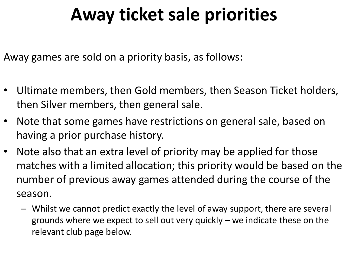# **Away ticket sale priorities**

Away games are sold on a priority basis, as follows:

- Ultimate members, then Gold members, then Season Ticket holders, then Silver members, then general sale.
- Note that some games have restrictions on general sale, based on having a prior purchase history.
- Note also that an extra level of priority may be applied for those matches with a limited allocation; this priority would be based on the number of previous away games attended during the course of the season.
	- Whilst we cannot predict exactly the level of away support, there are several grounds where we expect to sell out very quickly – we indicate these on the relevant club page below.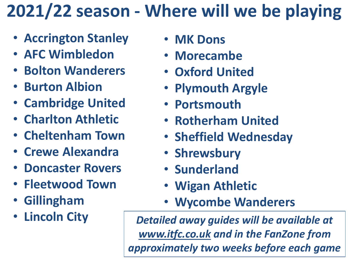# **2021/22 season - Where will we be playing**

- **Accrington Stanley**
- **AFC Wimbledon**
- **Bolton Wanderers**
- **Burton Albion**
- **Cambridge United**
- **Charlton Athletic**
- **Cheltenham Town**
- **Crewe Alexandra**
- **Doncaster Rovers**
- **Fleetwood Town**
- **Gillingham**
- **Lincoln City**
- **MK Dons**
- **Morecambe**
- **Oxford United**
- **Plymouth Argyle**
- **Portsmouth**
- **Rotherham United**
- **Sheffield Wednesday**
- **Shrewsbury**
- **Sunderland**
- **Wigan Athletic**
- **Wycombe Wanderers**

*Detailed away guides will be available at [www.itfc.co.uk](http://www.itfc.co.uk/) and in the FanZone from approximately two weeks before each game*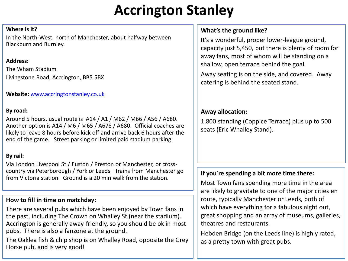# **Accrington Stanley**

#### **Where is it?**

In the North-West, north of Manchester, about halfway between Blackburn and Burnley.

# **Address:**

The Wham Stadium Livingstone Road, Accrington, BB5 5BX

**Website:** [www.accringtonstanley.co.uk](http://www.accringtonstanley.co.uk/club-info/visit-wham-stadium/)

# **By road:**

Around 5 hours, usual route is A14 / A1 / M62 / M66 / A56 / A680. Another option is A14 / M6 / M65 / A678 / A680. Official coaches are likely to leave 8 hours before kick off and arrive back 6 hours after the end of the game. Street parking or limited paid stadium parking.

# **By rail:**

Via London Liverpool St / Euston / Preston or Manchester, or crosscountry via Peterborough / York or Leeds. Trains from Manchester go from Victoria station. Ground is a 20 min walk from the station.

# **How to fill in time on matchday:**

There are several pubs which have been enjoyed by Town fans in the past, including The Crown on Whalley St (near the stadium). Accrington is generally away-friendly, so you should be ok in most pubs. There is also a fanzone at the ground.

The Oaklea fish & chip shop is on Whalley Road, opposite the Grey Horse pub, and is very good!

# **What's the ground like?**

It's a wonderful, proper lower-league ground, capacity just 5,450, but there is plenty of room for away fans, most of whom will be standing on a shallow, open terrace behind the goal.

Away seating is on the side, and covered. Away catering is behind the seated stand.

# **Away allocation:**

1,800 standing (Coppice Terrace) plus up to 500 seats (Eric Whalley Stand).

# **If you're spending a bit more time there:**

Most Town fans spending more time in the area are likely to gravitate to one of the major cities en route, typically Manchester or Leeds, both of which have everything for a fabulous night out, great shopping and an array of museums, galleries, theatres and restaurants.

Hebden Bridge (on the Leeds line) is highly rated, as a pretty town with great pubs.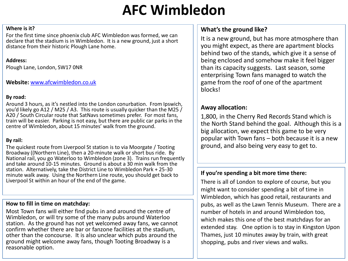# **AFC Wimbledon**

#### **Where is it?**

For the first time since phoenix club AFC Wimbledon was formed, we can declare that the stadium is in Wimbledon. It is a new ground, just a short distance from their historic Plough Lane home.

#### **Address:**

Plough Lane, London, SW17 0NR

#### **Website:** [www.afcwimbledon.co.uk](http://www.afcwimbledon.co.uk/)

#### **By road:**

Around 3 hours, as it's nestled into the London conurbation. From Ipswich, you'd likely go A12 / M25 / A3. This route is usually quicker than the M25 / A20 / South Circular route that SatNavs sometimes prefer. For most fans, train will be easier. Parking is not easy, but there are public car parks in the centre of Wimbledon, about 15 minutes' walk from the ground.

#### **By rail:**

The quickest route from Liverpool St station is to via Moorgate / Tooting Broadway ((Northern Line), then a 20-minute walk or short bus ride. By National rail, you go Waterloo to Wimbledon (zone 3). Trains run frequently and take around 10-15 minutes. Ground is about a 30 min walk from the station. Alternatively, take the District Line to Wimbledon Park + 25-30 minute walk away. Using the Northern Line route, you should get back to Liverpool St within an hour of the end of the game.

#### **How to fill in time on matchday:**

Most Town fans will either find pubs in and around the centre of Wimbledon, or will try some of the many pubs around Waterloo station. As the ground has not yet welcomed away fans, we cannot confirm whether there are bar or fanzone facilities at the stadium, other than the concourse. It is also unclear which pubs around the ground might welcome away fans, though Tooting Broadway is a reasonable option.

# **What's the ground like?**

It is a new ground, but has more atmosphere than you might expect, as there are apartment blocks behind two of the stands, which give it a sense of being enclosed and somehow make it feel bigger than its capacity suggests. Last season, some enterprising Town fans managed to watch the game from the roof of one of the apartment blocks!

# **Away allocation:**

1,800, in the Cherry Red Records Stand which is the North Stand behind the goal. Although this is a big allocation, we expect this game to be very popular with Town fans – both because it is a new ground, and also being very easy to get to.

#### **If you're spending a bit more time there:**

There is all of London to explore of course, but you might want to consider spending a bit of time in Wimbledon, which has good retail, restaurants and pubs, as well as the Lawn Tennis Museum. There are a number of hotels in and around Wimbledon too, which makes this one of the best matchdays for an extended stay. One option is to stay in Kingston Upon Thames, just 10 minutes away by train, with great shopping, pubs and river views and walks.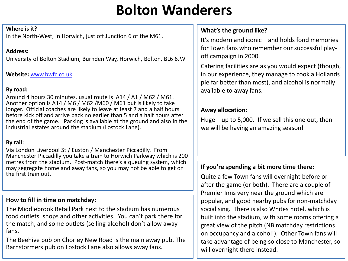# **Bolton Wanderers**

#### **Where is it?**

In the North-West, in Horwich, just off Junction 6 of the M61.

# **Address:**

University of Bolton Stadium, Burnden Way, Horwich, Bolton, BL6 6JW

# **Website:** [www.bwfc.co.uk](http://www.bwfc.co.uk/)

# **By road:**

Around 4 hours 30 minutes, usual route is A14 / A1 / M62 / M61. Another option is A14 / M6 / M62 /M60 / M61 but is likely to take longer. Official coaches are likely to leave at least 7 and a half hours before kick off and arrive back no earlier than 5 and a half hours after the end of the game. Parking is available at the ground and also in the industrial estates around the stadium (Lostock Lane).

# **By rail:**

Via London Liverpool St / Euston / Manchester Piccadilly. From Manchester Piccadilly you take a train to Horwich Parkway which is 200 metres from the stadium. Post-match there's a queuing system, which may segregate home and away fans, so you may not be able to get on the first train out.

# **How to fill in time on matchday:**

The Middlebrook Retail Park next to the stadium has numerous food outlets, shops and other activities. You can't park there for the match, and some outlets (selling alcohol) don't allow away fans.

The Beehive pub on Chorley New Road is the main away pub. The Barnstormers pub on Lostock Lane also allows away fans.

# **What's the ground like?**

It's modern and iconic – and holds fond memories for Town fans who remember our successful playoff campaign in 2000.

Catering facilities are as you would expect (though, in our experience, they manage to cook a Hollands pie far better than most), and alcohol is normally available to away fans.

# **Away allocation:**

Huge – up to 5,000. If we sell this one out, then we will be having an amazing season!

# **If you're spending a bit more time there:**

Quite a few Town fans will overnight before or after the game (or both). There are a couple of Premier Inns very near the ground which are popular, and good nearby pubs for non-matchday socialising. There is also Whites hotel, which is built into the stadium, with some rooms offering a great view of the pitch (NB matchday restrictions on occupancy and alcohol!). Other Town fans will take advantage of being so close to Manchester, so will overnight there instead.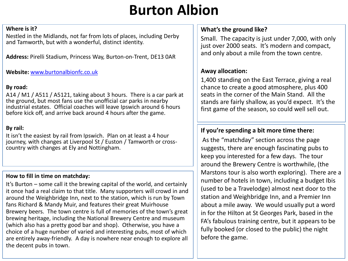# **Burton Albion**

#### **Where is it?**

Nestled in the Midlands, not far from lots of places, including Derby and Tamworth, but with a wonderful, distinct identity.

**Address:** Pirelli Stadium, Princess Way, Burton-on-Trent, DE13 0AR

**Website:** [www.burtonalbionfc.co.uk](http://www.burtonalbionfc.co.uk/)

#### **By road:**

A14 / M1 / A511 / A5121, taking about 3 hours. There is a car park at the ground, but most fans use the unofficial car parks in nearby industrial estates. Official coaches will leave Ipswich around 6 hours before kick off, and arrive back around 4 hours after the game.

## **By rail:**

It isn't the easiest by rail from Ipswich. Plan on at least a 4 hour journey, with changes at Liverpool St / Euston / Tamworth or crosscountry with changes at Ely and Nottingham.

#### **How to fill in time on matchday:**

It's Burton – some call it the brewing capital of the world, and certainly it once had a real claim to that title. Many supporters will crowd in and around the Weighbridge Inn, next to the station, which is run by Town fans Richard & Mandy Muir, and features their great Muirhouse Brewery beers. The town centre is full of memories of the town's great brewing heritage, including the National Brewery Centre and museum (which also has a pretty good bar and shop). Otherwise, you have a choice of a huge number of varied and interesting pubs, most of which are entirely away-friendly. A day is nowhere near enough to explore all the decent pubs in town.

# **What's the ground like?**

Small. The capacity is just under 7,000, with only just over 2000 seats. It's modern and compact, and only about a mile from the town centre.

# **Away allocation:**

1,400 standing on the East Terrace, giving a real chance to create a good atmosphere, plus 400 seats in the corner of the Main Stand. All the stands are fairly shallow, as you'd expect. It's the first game of the season, so could well sell out.

# **If you're spending a bit more time there:**

As the "matchday" section across the page suggests, there are enough fascinating pubs to keep you interested for a few days. The tour around the Brewery Centre is worthwhile, (the Marstons tour is also worth exploring). There are a number of hotels in town, including a budget Ibis (used to be a Travelodge) almost next door to the station and Weighbridge Inn, and a Premier Inn about a mile away. We would usually put a word in for the Hilton at St Georges Park, based in the FA's fabulous training centre, but it appears to be fully booked (or closed to the public) the night before the game.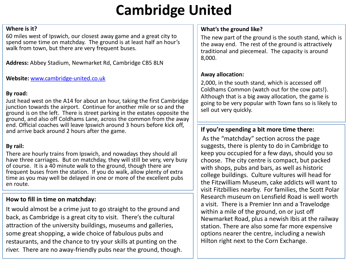# **Cambridge United**

#### **Where is it?**

60 miles west of Ipswich, our closest away game and a great city to spend some time on matchday. The ground is at least half an hour's walk from town, but there are very frequent buses.

**Address:** Abbey Stadium, Newmarket Rd, Cambridge CB5 8LN

**Website:** [www.cambridge-united.co.uk](http://www.cambridge-united.co.uk/)

#### **By road:**

Just head west on the A14 for about an hour, taking the first Cambridge junction towards the airport. Continue for another mile or so and the ground is on the left. There is street parking in the estates opposite the ground, and also off Coldhams Lane, across the common from the away end. Official coaches will leave Ipswich around 3 hours before kick off, and arrive back around 2 hours after the game.

#### **By rail:**

There are hourly trains from Ipswich, and nowadays they should all have three carriages. But on matchday, they will still be very, very busy of course. It is a 40 minute walk to the ground, though there are frequent buses from the station. If you do walk, allow plenty of extra time as you may well be delayed in one or more of the excellent pubs en route.

# **How to fill in time on matchday:**

It would almost be a crime just to go straight to the ground and back, as Cambridge is a great city to visit. There's the cultural attraction of the university buildings, museums and galleries, some great shopping, a wide choice of fabulous pubs and restaurants, and the chance to try your skills at punting on the river. There are no away-friendly pubs near the ground, though.

#### **What's the ground like?**

The new part of the ground is the south stand, which is the away end. The rest of the ground is attractively traditional and piecemeal. The capacity is around 8,000.

#### **Away allocation:**

2,000, in the south stand, which is accessed off Coldhams Common (watch out for the cow pats!). Although that is a big away allocation, the game is going to be very popular with Town fans so is likely to sell out very quickly.

# **If you're spending a bit more time there:**

As the "matchday" section across the page suggests, there is plenty to do in Cambridge to keep you occupied for a few days, should you so choose. The city centre is compact, but packed with shops, pubs and bars, as well as historic college buildings. Culture vultures will head for the Fitzwilliam Museum, cake addicts will want to visit Fitzbillies nearby. For families, the Scott Polar Research museum on Lensfield Road is well worth a visit. There is a Premier Inn and a Travelodge within a mile of the ground, on or just off Newmarket Road, plus a newish Ibis at the railway station. There are also some far more expensive options nearer the centre, including a newish Hilton right next to the Corn Exchange.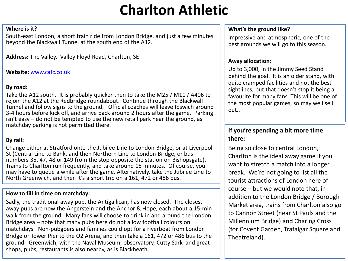# **Charlton Athletic**

#### **Where is it?**

South-east London, a short train ride from London Bridge, and just a few minutes beyond the Blackwall Tunnel at the south end of the A12.

**Address:** The Valley, Valley Floyd Road, Charlton, SE

#### **Website:** [www.cafc.co.uk](http://www.cafc.co.uk/)

### **By road:**

Take the A12 south. It is probably quicker then to take the M25 / M11 / A406 to rejoin the A12 at the Redbridge roundabout. Continue through the Blackwall Tunnel and follow signs to the ground. Official coaches will leave Ipswich around 3-4 hours before kick off, and arrive back around 2 hours after the game. Parking isn't easy – do not be tempted to use the new retail park near the ground, as matchday parking is not permitted there.

# **By rail:**

Change either at Stratford onto the Jubilee Line to London Bridge, or at Liverpool St (Central Line to Bank, and then Northern Line to London Bridge, or bus numbers 35, 47, 48 or 149 from the stop opposite the station on Bishopsgate). Trains to Charlton run frequently, and take around 15 minutes. Of course, you may have to queue a while after the game. Alternatively, take the Jubilee Line to North Greenwich, and then it's a short trip on a 161, 472 or 486 bus.

#### **How to fill in time on matchday:**

Sadly, the traditional away pub, the Antigallican, has now closed. The closest away pubs are now the Angerstein and the Anchor & Hope, each about a 15-min walk from the ground. Many fans will choose to drink in and around the London Bridge area – note that many pubs here do not allow football colours on matchdays. Non-pubgoers and families could opt for a riverboat from London Bridge or Tower Pier to the O2 Arena, and then take a 161, 472 or 486 bus to the ground. Greenwich, with the Naval Museum, observatory, Cutty Sark and great shops, pubs, restaurants is also nearby, as is Blackheath.

#### **What's the ground like?**

Impressive and atmospheric, one of the best grounds we will go to this season.

#### **Away allocation:**

Up to 3,000, in the Jimmy Seed Stand behind the goal. It is an older stand, with quite cramped facilities and not the best sightlines, but that doesn't stop it being a favourite for many fans. This will be one of the most popular games, so may well sell out..

## **If you're spending a bit more time there:**

Being so close to central London, Charlton is the ideal away game if you want to stretch a match into a longer break. We're not going to list all the tourist attractions of London here of course – but we would note that, in addition to the London Bridge / Borough Market area, trains from Charlton also go to Cannon Street (near St Pauls and the Millennium Bridge) and Charing Cross (for Covent Garden, Trafalgar Square and Theatreland).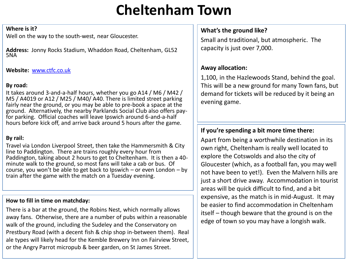# **Cheltenham Town**

#### **Where is it?**

Well on the way to the south-west, near Gloucester.

**Address:** Jonny Rocks Stadium, Whaddon Road, Cheltenham, GL52 5NA

**Website:** [www.ctfc.co.uk](http://www.ctfc.co.uk/)

#### **By road:**

It takes around 3-and-a-half hours, whether you go A14 / M6 / M42 / M5 / A4019 or A12 / M25 / M40/ A40. There is limited street parking fairly near the ground, or you may be able to pre-book a space at the ground. Alternatively, the nearby Parklands Social Club also offers payfor parking. Official coaches will leave Ipswich around 6-and-a-half hours before kick off, and arrive back around 5 hours after the game.

#### **By rail:**

Travel via London Liverpool Street, then take the Hammersmith & City line to Paddington. There are trains roughly every hour from Paddington, taking about 2 hours to get to Cheltenham. It is then a 40 minute walk to the ground, so most fans will take a cab or bus. Of course, you won't be able to get back to Ipswich – or even London – by train after the game with the match on a Tuesday evening.

# **How to fill in time on matchday:**

There is a bar at the ground, the Robins Nest, which normally allows away fans. Otherwise, there are a number of pubs within a reasonable walk of the ground, including the Sudeley and the Conservatory on Prestbury Road (with a decent fish & chip shop in-between them). Real ale types will likely head for the Kemble Brewery Inn on Fairview Street, or the Angry Parrot micropub & beer garden, on St James Street.

# **What's the ground like?**

Small and traditional, but atmospheric. The capacity is just over 7,000.

# **Away allocation:**

1,100, in the Hazlewoods Stand, behind the goal. This will be a new ground for many Town fans, but demand for tickets will be reduced by it being an evening game.

# **If you're spending a bit more time there:**

Apart from being a worthwhile destination in its own right, Cheltenham is really well located to explore the Cotswolds and also the city of Gloucester (which, as a football fan, you may well not have been to yet!). Even the Malvern hills are just a short drive away. Accommodation in tourist areas will be quick difficult to find, and a bit expensive, as the match is in mid-August. It may be easier to find accommodation in Cheltenham itself – though beware that the ground is on the edge of town so you may have a longish walk.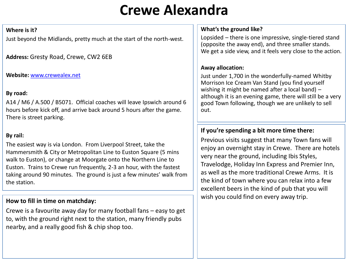# **Crewe Alexandra**

#### **Where is it?**

Just beyond the Midlands, pretty much at the start of the north-west.

**Address:** Gresty Road, Crewe, CW2 6EB

#### **Website:** [www.crewealex.net](http://www.crewealex.net/)

# **By road:**

A14 / M6 / A.500 / B5071. Official coaches will leave Ipswich around 6 hours before kick off, and arrive back around 5 hours after the game. There is street parking.

# **By rail:**

The easiest way is via London. From Liverpool Street, take the Hammersmith & City or Metropolitan Line to Euston Square (5 mins walk to Euston), or change at Moorgate onto the Northern Line to Euston. Trains to Crewe run frequently, 2-3 an hour, with the fastest taking around 90 minutes. The ground is just a few minutes' walk from the station.

# **How to fill in time on matchday:**

Crewe is a favourite away day for many football fans – easy to get to, with the ground right next to the station, many friendly pubs nearby, and a really good fish & chip shop too.

#### **What's the ground like?**

Lopsided – there is one impressive, single-tiered stand (opposite the away end), and three smaller stands. We get a side view, and it feels very close to the action.

### **Away allocation:**

Just under 1,700 in the wonderfully-named Whitby Morrison Ice Cream Van Stand (you find yourself wishing it might be named after a local band) – although it is an evening game, there will still be a very good Town following, though we are unlikely to sell out.

# **If you're spending a bit more time there:**

Previous visits suggest that many Town fans will enjoy an overnight stay in Crewe. There are hotels very near the ground, including Ibis Styles, Travelodge, Holiday Inn Express and Premier Inn, as well as the more traditional Crewe Arms. It is the kind of town where you can relax into a few excellent beers in the kind of pub that you will wish you could find on every away trip.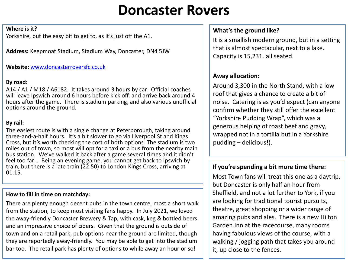# **Doncaster Rovers**

#### **Where is it?**

Yorkshire, but the easy bit to get to, as it's just off the A1.

**Address:** Keepmoat Stadium, Stadium Way, Doncaster, DN4 5JW

# **Website:** [www.doncasterroversfc.co.uk](http://www.doncasterroversfc.co.uk/)

# **By road:**

A14 / A1 / M18 / A6182. It takes around 3 hours by car. Official coaches will leave Ipswich around 6 hours before kick off, and arrive back around 4 hours after the game. There is stadium parking, and also various unofficial options around the ground.

# **By rail:**

The easiest route is with a single change at Peterborough, taking around three-and-a-half hours. It's a bit slower to go via Liverpool St and Kings Cross, but it's worth checking the cost of both options. The stadium is two miles out of town, so most will opt for a taxi or a bus from the nearby main bus station. We've walked it back after a game several times and it didn't feel too far… Being an evening game, you cannot get back to Ipswich by train, but there is a late train (22:50) to London Kings Cross, arriving at 01:15.

#### **How to fill in time on matchday:**

There are plenty enough decent pubs in the town centre, most a short walk from the station, to keep most visiting fans happy. In July 2021, we loved the away-friendly Doncaster Brewery & Tap, with cask, keg & bottled beers and an impressive choice of ciders. Given that the ground is outside of town and on a retail park, pub options near the ground are limited, though they are reportedly away-friendly. You may be able to get into the stadium bar too. The retail park has plenty of options to while away an hour or so!

# **What's the ground like?**

It is a smallish modern ground, but in a setting that is almost spectacular, next to a lake. Capacity is 15,231, all seated.

# **Away allocation:**

Around 3,300 in the North Stand, with a low roof that gives a chance to create a bit of noise. Catering is as you'd expect (can anyone confirm whether they still offer the excellent "Yorkshire Pudding Wrap", which was a generous helping of roast beef and gravy, wrapped not in a tortilla but in a Yorkshire pudding – delicious!).

# **If you're spending a bit more time there:**

Most Town fans will treat this one as a daytrip, but Doncaster is only half an hour from Sheffield, and not a lot further to York, if you are looking for traditional tourist pursuits, theatre, great shopping or a wider range of amazing pubs and ales. There is a new Hilton Garden Inn at the racecourse, many rooms having fabulous views of the course, with a walking / jogging path that takes you around it, up close to the fences.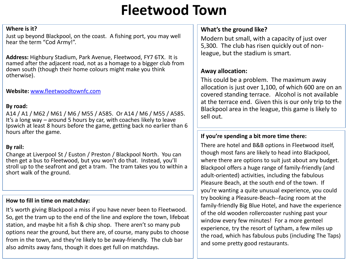# **Fleetwood Town**

#### **Where is it?**

Just up beyond Blackpool, on the coast. A fishing port, you may well hear the term "Cod Army!".

**Address:** Highbury Stadium, Park Avenue, Fleetwood, FY7 6TX. It is named after the adjacent road, not as a homage to a bigger club from down south (though their home colours might make you think otherwise).

**Website:** [www.fleetwoodtownfc.com](http://www.fleetwoodtownfc.com/)

#### **By road:**

A14 / A1 / M62 / M61 / M6 / M55 / A585. Or A14 / M6 / M55 / A585. It's a long way – around 5 hours by car, with coaches likely to leave Ipswich at least 8 hours before the game, getting back no earlier than 6 hours after the game.

#### **By rail:**

Change at Liverpool St / Euston / Preston / Blackpool North. You can then get a bus to Fleetwood, but you won't do that. Instead, you'll stroll up to the seafront and get a tram. The tram takes you to within a short walk of the ground.

#### **How to fill in time on matchday:**

It's worth giving Blackpool a miss if you have never been to Fleetwood. So, get the tram up to the end of the line and explore the town, lifeboat station, and maybe hit a fish & chip shop. There aren't so many pub options near the ground, but there are, of course, many pubs to choose from in the town, and they're likely to be away-friendly. The club bar also admits away fans, though it does get full on matchdays.

# **What's the ground like?**

Modern but small, with a capacity of just over 5,300. The club has risen quickly out of nonleague, but the stadium is smart.

#### **Away allocation:**

This could be a problem. The maximum away allocation is just over 1,100, of which 600 are on an covered standing terrace. Alcohol is not available at the terrace end. Given this is our only trip to the Blackpool area in the league, this game is likely to sell out.

#### **If you're spending a bit more time there:**

There are hotel and B&B options in Fleetwood itself, though most fans are likely to head into Blackpool, where there are options to suit just about any budget. Blackpool offers a huge range of family-friendly (and adult-oriented) activities, including the fabulous Pleasure Beach, at the south end of the town. If you're wanting a quite unusual experience, you could try booking a Pleasure-Beach--facing room at the family-friendly Big Blue Hotel, and have the experience of the old wooden rollercoaster rushing past your window every few minutes! For a more genteel experience, try the resort of Lytham, a few miles up the road, which has fabulous pubs (including The Taps) and some pretty good restaurants.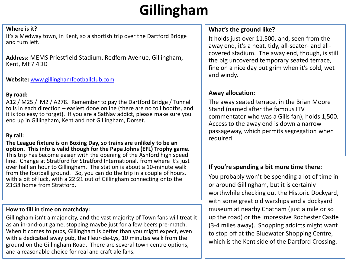# **Gillingham**

#### **Where is it?**

It's a Medway town, in Kent, so a shortish trip over the Dartford Bridge and turn left.

**Address:** MEMS Priestfield Stadium, Redfern Avenue, Gillingham, Kent, ME7 4DD

**Website:** [www.gillinghamfootballclub.com](http://www.gillinghamfootballclub.com/)

#### **By road:**

A12 / M25 / M2 / A278. Remember to pay the Dartford Bridge / Tunnel tolls in each direction – easiest done online (there are no toll booths, and it is too easy to forget). If you are a SatNav addict, please make sure you end up in Gillingham, Kent and not Gillingham, Dorset.

# **By rail:**

**The League fixture is on Boxing Day, so trains are unlikely to be an option. This info is valid though for the Papa Johns (EFL) Trophy game.**  This trip has become easier with the opening of the Ashford high speed line. Change at Stratford for Stratford International, from where it's just over half an hour to Gillingham. The station is about a 10-minute walk from the football ground. So, you can do the trip in a couple of hours, with a bit of luck, with a 22:21 out of Gillingham connecting onto the 23:38 home from Stratford.

#### **How to fill in time on matchday:**

Gillingham isn't a major city, and the vast majority of Town fans will treat it as an in-and-out game, stopping maybe just for a few beers pre-match. When it comes to pubs, Gillingham is better than you might expect, even with a dedicated away pub, the Fleur-de-Lys, 10 minutes walk from the ground on the Gillingham Road. There are several town centre options, and a reasonable choice for real and craft ale fans.

# **What's the ground like?**

It holds just over 11,500, and, seen from the away end, it's a neat, tidy, all-seater- and allcovered stadium. The away end, though, is still the big uncovered temporary seated terrace, fine on a nice day but grim when it's cold, wet and windy.

# **Away allocation:**

The away seated terrace, in the Brian Moore Stand (named after the famous ITV commentator who was a Gills fan), holds 1,500. Access to the away end is down a narrow passageway, which permits segregation when required.

# **If you're spending a bit more time there:**

You probably won't be spending a lot of time in or around Gillingham, but it is certainly worthwhile checking out the Historic Dockyard, with some great old warships and a dockyard museum at nearby Chatham (just a mile or so up the road) or the impressive Rochester Castle (3-4 miles away). Shopping addicts might want to stop off at the Bluewater Shopping Centre, which is the Kent side of the Dartford Crossing.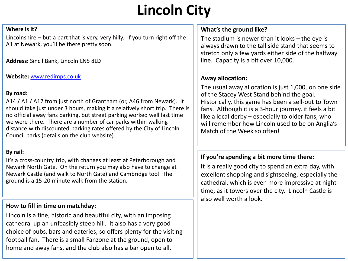# **Lincoln City**

#### **Where is it?**

Lincolnshire – but a part that is very, very hilly. If you turn right off the A1 at Newark, you'll be there pretty soon.

**Address:** Sincil Bank, Lincoln LN5 8LD

**Website:** [www.redimps.co.uk](http://www.redimps.co.uk/)

#### **By road:**

A14 / A1 / A17 from just north of Grantham (or, A46 from Newark). It should take just under 3 hours, making it a relatively short trip. There is no official away fans parking, but street parking worked well last time we were there. There are a number of car parks within walking distance with discounted parking rates offered by the City of Lincoln Council parks (details on the club website).

# **By rail:**

It's a cross-country trip, with changes at least at Peterborough and Newark North Gate. On the return you may also have to change at Newark Castle (and walk to North Gate) and Cambridge too! The ground is a 15-20 minute walk from the station.

# **How to fill in time on matchday:**

Lincoln is a fine, historic and beautiful city, with an imposing cathedral up an unfeasibly steep hill. It also has a very good choice of pubs, bars and eateries, so offers plenty for the visiting football fan. There is a small Fanzone at the ground, open to home and away fans, and the club also has a bar open to all.

# **What's the ground like?**

The stadium is newer than it looks – the eye is always drawn to the tall side stand that seems to stretch only a few yards either side of the halfway line. Capacity is a bit over 10,000.

# **Away allocation:**

The usual away allocation is just 1,000, on one side of the Stacey West Stand behind the goal. Historically, this game has been a sell-out to Town fans. Although it is a 3-hour journey, it feels a bit like a local derby – especially to older fans, who will remember how Lincoln used to be on Anglia's Match of the Week so often!

# **If you're spending a bit more time there:**

It is a really good city to spend an extra day, with excellent shopping and sightseeing, especially the cathedral, which is even more impressive at nighttime, as it towers over the city. Lincoln Castle is also well worth a look.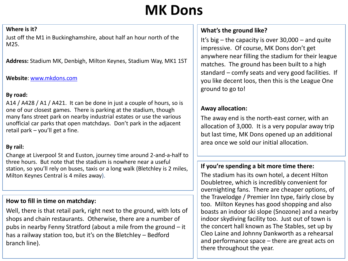# **MK Dons**

#### **Where is it?**

Just off the M1 in Buckinghamshire, about half an hour north of the M25.

**Address:** Stadium MK, Denbigh, Milton Keynes, Stadium Way, MK1 1ST

#### **Website**: [www.mkdons.com](http://www.mkdons.com/)

# **By road:**

A14 / A428 / A1 / A421. It can be done in just a couple of hours, so is one of our closest games. There is parking at the stadium, though many fans street park on nearby industrial estates or use the various unofficial car parks that open matchdays. Don't park in the adjacent retail park – you'll get a fine.

# **By rail:**

Change at Liverpool St and Euston, journey time around 2-and-a-half to three hours. But note that the stadium is nowhere near a useful station, so you'll rely on buses, taxis or a long walk (Bletchley is 2 miles, Milton Keynes Central is 4 miles away).

# **How to fill in time on matchday:**

Well, there is that retail park, right next to the ground, with lots of shops and chain restaurants. Otherwise, there are a number of pubs in nearby Fenny Stratford (about a mile from the ground – it has a railway station too, but it's on the Bletchley – Bedford branch line).

# **What's the ground like?**

It's big – the capacity is over 30,000 – and quite impressive. Of course, MK Dons don't get anywhere near filling the stadium for their league matches. The ground has been built to a high standard – comfy seats and very good facilities. If you like decent loos, then this is the League One ground to go to!

# **Away allocation:**

The away end is the north-east corner, with an allocation of 3,000. It is a very popular away trip but last time, MK Dons opened up an additional area once we sold our initial allocation.

# **If you're spending a bit more time there:**

The stadium has its own hotel, a decent Hilton Doubletree, which is incredibly convenient for overnighting fans. There are cheaper options, of the Travelodge / Premier Inn type, fairly close by too. Milton Keynes has good shopping and also boasts an indoor ski slope (Snozone) and a nearby indoor skydiving facility too. Just out of town is the concert hall known as The Stables, set up by Cleo Laine and Johnny Dankworth as a rehearsal and performance space – there are great acts on there throughout the year.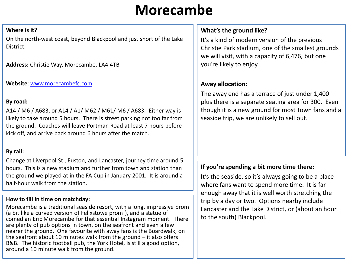# **Morecambe**

#### **Where is it?**

On the north-west coast, beyond Blackpool and just short of the Lake District.

**Address:** Christie Way, Morecambe, LA4 4TB

**Website**: [www.morecambefc.com](http://www.morecambefc.com/)

#### **By road:**

A14 / M6 / A683, or A14 / A1/ M62 / M61/ M6 / A683. Either way is likely to take around 5 hours. There is street parking not too far from the ground. Coaches will leave Portman Road at least 7 hours before kick off, and arrive back around 6 hours after the match.

# **By rail:**

Change at Liverpool St , Euston, and Lancaster, journey time around 5 hours. This is a new stadium and further from town and station than the ground we played at in the FA Cup in January 2001. It is around a half-hour walk from the station.

#### **How to fill in time on matchday:**

Morecambe is a traditional seaside resort, with a long, impressive prom (a bit like a curved version of Felixstowe prom!), and a statue of comedian Eric Morecambe for that essential Instagram moment. There are plenty of pub options in town, on the seafront and even a few nearer the ground. One favourite with away fans is the Boardwalk, on the seafront about 10 minutes walk from the ground – it also offers B&B. The historic football pub, the York Hotel, is still a good option, around a 10 minute walk from the ground.

# **What's the ground like?**

It's a kind of modern version of the previous Christie Park stadium, one of the smallest grounds we will visit, with a capacity of 6,476, but one you're likely to enjoy.

# **Away allocation:**

The away end has a terrace of just under 1,400 plus there is a separate seating area for 300. Even though it is a new ground for most Town fans and a seaside trip, we are unlikely to sell out.

# **If you're spending a bit more time there:**

It's the seaside, so it's always going to be a place where fans want to spend more time. It is far enough away that it is well worth stretching the trip by a day or two. Options nearby include Lancaster and the Lake District, or (about an hour to the south) Blackpool.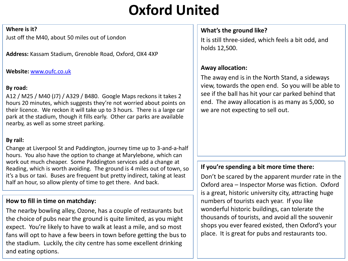# **Oxford United**

#### **Where is it?**

Just off the M40, about 50 miles out of London

**Address:** Kassam Stadium, Grenoble Road, Oxford, OX4 4XP

#### **Website:** [www.oufc.co.uk](http://www.oufc.co.uk/)

### **By road:**

A12 / M25 / M40 (J7) / A329 / B480. Google Maps reckons it takes 2 hours 20 minutes, which suggests they're not worried about points on their licence. We reckon it will take up to 3 hours. There is a large car park at the stadium, though it fills early. Other car parks are available nearby, as well as some street parking.

# **By rail:**

Change at Liverpool St and Paddington, journey time up to 3-and-a-half hours. You also have the option to change at Marylebone, which can work out much cheaper. Some Paddington services add a change at Reading, which is worth avoiding. The ground is 4 miles out of town, so it's a bus or taxi. Buses are frequent but pretty indirect, taking at least half an hour, so allow plenty of time to get there. And back.

# **How to fill in time on matchday:**

The nearby bowling alley, Ozone, has a couple of restaurants but the choice of pubs near the ground is quite limited, as you might expect. You're likely to have to walk at least a mile, and so most fans will opt to have a few beers in town before getting the bus to the stadium. Luckily, the city centre has some excellent drinking and eating options.

# **What's the ground like?**

It is still three-sided, which feels a bit odd, and holds 12,500.

# **Away allocation:**

The away end is in the North Stand, a sideways view, towards the open end. So you will be able to see if the ball has hit your car parked behind that end. The away allocation is as many as 5,000, so we are not expecting to sell out.

# **If you're spending a bit more time there:**

Don't be scared by the apparent murder rate in the Oxford area – Inspector Morse was fiction. Oxford is a great, historic university city, attracting huge numbers of tourists each year. If you like wonderful historic buildings, can tolerate the thousands of tourists, and avoid all the souvenir shops you ever feared existed, then Oxford's your place. It is great for pubs and restaurants too.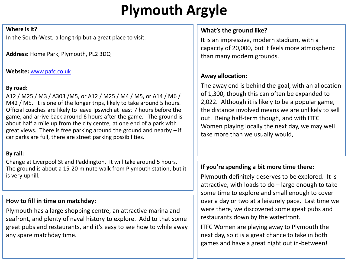# **Plymouth Argyle**

#### **Where is it?**

In the South-West, a long trip but a great place to visit.

**Address:** Home Park, Plymouth, PL2 3DQ

#### **Website:** [www.pafc.co.uk](http://www.pafc.co.uk/)

# **By road:**

A12 / M25 / M3 / A303 /M5, or A12 / M25 / M4 / M5, or A14 / M6 / M42 / M5. It is one of the longer trips, likely to take around 5 hours. Official coaches are likely to leave Ipswich at least 7 hours before the game, and arrive back around 6 hours after the game. The ground is about half a mile up from the city centre, at one end of a park with great views. There is free parking around the ground and nearby – if car parks are full, there are street parking possibilities.

# **By rail:**

Change at Liverpool St and Paddington. It will take around 5 hours. The ground is about a 15-20 minute walk from Plymouth station, but it is very uphill.

# **How to fill in time on matchday:**

Plymouth has a large shopping centre, an attractive marina and seafront, and plenty of naval history to explore. Add to that some great pubs and restaurants, and it's easy to see how to while away any spare matchday time.

# **What's the ground like?**

It is an impressive, modern stadium, with a capacity of 20,000, but it feels more atmospheric than many modern grounds.

# **Away allocation:**

The away end is behind the goal, with an allocation of 1,300, though this can often be expanded to 2,022. Although it is likely to be a popular game, the distance involved means we are unlikely to sell out. Being half-term though, and with ITFC Women playing locally the next day, we may well take more than we usually would,

# **If you're spending a bit more time there:**

Plymouth definitely deserves to be explored. It is attractive, with loads to do – large enough to take some time to explore and small enough to cover over a day or two at a leisurely pace. Last time we were there, we discovered some great pubs and restaurants down by the waterfront.

ITFC Women are playing away to Plymouth the next day, so it is a great chance to take in both games and have a great night out in-between!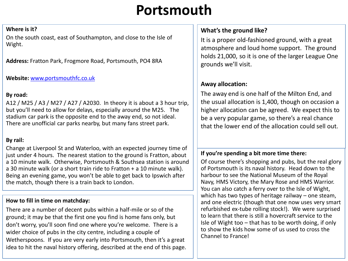# **Portsmouth**

#### **Where is it?**

On the south coast, east of Southampton, and close to the Isle of Wight.

**Address:** Fratton Park, Frogmore Road, Portsmouth, PO4 8RA

#### **Website:** [www.portsmouthfc.co.uk](http://www.portsmouthfc.co.uk/)

### **By road:**

A12 / M25 / A3 / M27 / A27 / A2030. In theory it is about a 3 hour trip, but you'll need to allow for delays, especially around the M25. The stadium car park is the opposite end to the away end, so not ideal. There are unofficial car parks nearby, but many fans street park.

# **By rail:**

Change at Liverpool St and Waterloo, with an expected journey time of just under 4 hours. The nearest station to the ground is Fratton, about a 10 minute walk. Otherwise, Portsmouth & Southsea station is around a 30 minute walk (or a short train ride to Fratton + a 10 minute walk). Being an evening game, you won't be able to get back to Ipswich after the match, though there is a train back to London.

#### **How to fill in time on matchday:**

There are a number of decent pubs within a half-mile or so of the ground; it may be that the first one you find is home fans only, but don't worry, you'll soon find one where you're welcome. There is a wider choice of pubs in the city centre, including a couple of Wetherspoons. If you are very early into Portsmouth, then it's a great idea to hit the naval history offering, described at the end of this page.

# **What's the ground like?**

It is a proper old-fashioned ground, with a great atmosphere and loud home support. The ground holds 21,000, so it is one of the larger League One grounds we'll visit.

# **Away allocation:**

The away end is one half of the Milton End, and the usual allocation is 1,400, though on occasion a higher allocation can be agreed. We expect this to be a very popular game, so there's a real chance that the lower end of the allocation could sell out.

# **If you're spending a bit more time there:**

Of course there's shopping and pubs, but the real glory of Portsmouth is its naval history. Head down to the harbour to see the National Museum of the Royal Navy, HMS Victory, the Mary Rose and HMS Warrior. You can also catch a ferry over to the Isle of Wight, which has two types of heritage railway – one steam, and one electric (though that one now uses very smart refurbished ex-tube rolling stock!). We were surprised to learn that there is still a hovercraft service to the Isle of Wight too – that has to be worth doing, if only to show the kids how some of us used to cross the Channel to France!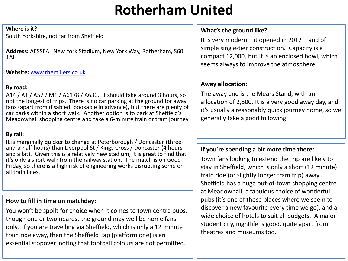# **Rotherham United**

#### **Where is it?**

South Yorkshire, not far from Sheffield

**Address:** AESSEAL New York Stadium, New York Way, Rotherham, S60 1AH

# **Website:** [www.themillers.co.uk](http://www.themillers.co.uk/)

# **By road:**

A14 / A1 / A57 / M1 / A6178 / A630. It should take around 3 hours, so not the longest of trips. There is no car parking at the ground for away fans (apart from disabled, bookable in advance), but there are plenty of car parks within a short walk. Another option is to park at Sheffield's Meadowhall shopping centre and take a 6-minute train or tram journey.

# **By rail:**

It is marginally quicker to change at Peterborough / Doncaster (threeand-a-half hours) than Liverpool St / Kings Cross / Doncaster (4 hours and a bit). Given this is a relatively new stadium, it is great to find that it's only a short walk from the railway station. The match is on Good Friday, so there is a high risk of engineering works disrupting some or all train lines.

# **How to fill in time on matchday:**

You won't be spoilt for choice when it comes to town centre pubs, though one or two nearest the ground may well be home fans only. If you are travelling via Sheffield, which is only a 12 minute train ride away, then the Sheffield Tap (platform one) is an essential stopover, noting that football colours are not permitted.

# **What's the ground like?**

It is very modern – it opened in 2012 – and of simple single-tier construction. Capacity is a compact 12,000, but it is an enclosed bowl, which seems always to improve the atmosphere.

# **Away allocation:**

The away end is the Mears Stand, with an allocation of 2,500. It is a very good away day, and it's usually a reasonably quick journey home, so we generally take a good following.

# **If you're spending a bit more time there:**

Town fans looking to extend the trip are likely to stay in Sheffield, which is only a short (12 minute) train ride (or slightly longer tram trip) away. Sheffield has a huge out-of-town shopping centre at Meadowhall, a fabulous choice of wonderful pubs (it's one of those places where we seem to discover a new favourite every time we go), and a wide choice of hotels to suit all budgets. A major student city, nightlife is good, quite apart from theatres and museums too.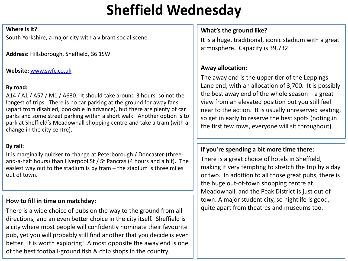# **Sheffield Wednesday**

#### **Where is it?**

South Yorkshire, a major city with a vibrant social scene.

**Address:** Hillsborough, Sheffield, S6 1SW

### **Website:** [www.swfc.co.uk](http://www.swfc.co.uk/)

# **By road:**

A14 / A1 / A57 / M1 / A630. It should take around 3 hours, so not the longest of trips. There is no car parking at the ground for away fans (apart from disabled, bookable in advance), but there are plenty of car parks and some street parking within a short walk. Another option is to park at Sheffield's Meadowhall shopping centre and take a tram (with a change in the city centre).

# **By rail:**

It is marginally quicker to change at Peterborough / Doncaster (threeand-a-half hours) than Liverpool St / St Pancras (4 hours and a bit). The easiest way out to the stadium is by tram – the stadium is three miles out of town.

# **How to fill in time on matchday:**

There is a wide choice of pubs on the way to the ground from all directions, and an even better choice in the city itself. Sheffield is a city where most people will confidently nominate their favourite pub, yet you will probably still find another that you decide is even better. It is worth exploring! Almost opposite the away end is one of the best football-ground fish & chip shops in the country.

# **What's the ground like?**

It is a huge, traditional, iconic stadium with a great atmosphere. Capacity is 39,732.

# **Away allocation:**

The away end is the upper tier of the Leppings Lane end, with an allocation of 3,700. It is possibly the best away end of the whole season – a great view from an elevated position but you still feel near to the action. It is usually unreserved seating, so get in early to reserve the best spots (noting,in the first few rows, everyone will sit throughout).

# **If you're spending a bit more time there:**

There is a great choice of hotels in Sheffield, making it very tempting to stretch the trip by a day or two. In addition to all those great pubs, there is the huge out-of-town shopping centre at Meadowhall, and the Peak District is just out of town. A major student city, so nightlife is good, quite apart from theatres and museums too.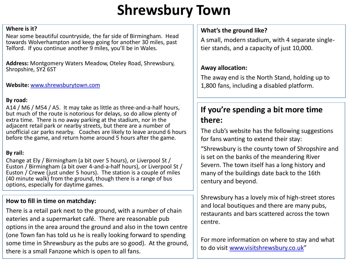# **Shrewsbury Town**

#### **Where is it?**

Near some beautiful countryside, the far side of Birmingham. Head towards Wolverhampton and keep going for another 30 miles, past Telford. If you continue another 9 miles, you'll be in Wales.

**Address:** Montgomery Waters Meadow, Oteley Road, Shrewsbury, Shropshire, SY2 6ST

**Website:** [www.shrewsburytown.com](http://www.shrewsburytown.com/)

#### **By road:**

A14 / M6 / M54 / A5. It may take as little as three-and-a-half hours, but much of the route is notorious for delays, so do allow plenty of extra time. There is no away parking at the stadium, nor in the adjacent retail park or nearby streets, but there are a number of unofficial car parks nearby. Coaches are likely to leave around 6 hours before the game, and return home around 5 hours after the game.

# **By rail:**

Change at Ely / Birmingham (a bit over 5 hours), or Liverpool St / Euston / Birmingham (a bit over 4-and-a-half hours), or Liverpool St / Euston / Crewe (just under 5 hours). The station is a couple of miles (40 minute walk) from the ground, though there is a range of bus options, especially for daytime games.

# **How to fill in time on matchday:**

There is a retail park next to the ground, with a number of chain eateries and a supermarket café. There are reasonable pub options in the area around the ground and also in the town centre (one Town fan has told us he is really looking forward to spending some time in Shrewsbury as the pubs are so good). At the ground, there is a small Fanzone which is open to all fans.

# **What's the ground like?**

A small, modern stadium, with 4 separate singletier stands, and a capacity of just 10,000.

# **Away allocation:**

The away end is the North Stand, holding up to 1,800 fans, including a disabled platform.

# **If you're spending a bit more time there:**

The club's website has the following suggestions for fans wanting to extend their stay:

"Shrewsbury is the county town of Shropshire and is set on the banks of the meandering River Severn. The town itself has a long history and many of the buildings date back to the 16th century and beyond.

Shrewsbury has a lovely mix of high-street stores and local boutiques and there are many pubs, restaurants and bars scattered across the town centre.

For more information on where to stay and what to do visit [www.visitshrewsbury.co.uk](https://www.visitshrewsbury.co.uk/)"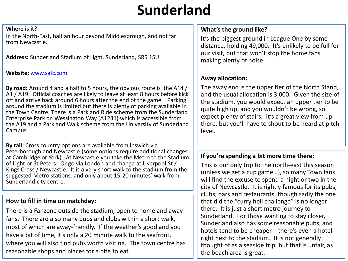# **Sunderland**

#### **Where is it?**

In the North-East, half an hour beyond Middlesbrough, and not far from Newcastle.

**Address:** Sunderland Stadium of Light, Sunderland, SR5 1SU

#### **Website:** [www.safc.com](http://www.safc.com/)

**By road:** Around 4 and a half to 5 hours, the obvious route is the A14 / A1 / A19. Official coaches are likely to leave at least 8 hours before kick off and arrive back around 6 hours after the end of the game. Parking around the stadium is limited but there is plenty of parking available in the Town Centre. There is a Park and Ride scheme from the Sunderland Enterprise Park on Wessington Way (A1231) which is accessible from the A19 and a Park and Walk scheme from the University of Sunderland Campus.

**By rail:** Cross country options are available from Ipswich via Peterborough and Newcastle (some options require additional changes at Cambridge or York). At Newcastle you take the Metro to the Stadium of Light or St Peters. Or go via London and change at Liverpool St / Kings Cross / Newcastle. It is a very short walk to the stadium from the suggested Metro stations, and only about 15-20 minutes' walk from Sunderland city centre.

# **How to fill in time on matchday:**

There is a Fanzone outside the stadium, open to home and away fans. There are also many pubs and clubs within a short walk, most of which are away-friendly. If the weather's good and you have a bit of time, it's only a 20 minute walk to the seafront, where you will also find pubs worth visiting. The town centre has reasonable shops and places for a bite to eat.

## **What's the ground like?**

It's the biggest ground in League One by some distance, holding 49,000. It's unlikely to be full for our visit, but that won't stop the home fans making plenty of noise.

# **Away allocation:**

The away end is the upper tier of the North Stand, and the usual allocation is 3,000. Given the size of the stadium, you would expect an upper tier to be quite high up, and you wouldn't be wrong, so expect plenty of stairs. It's a great view from up there, but you'll have to shout to be heard at pitch level.

# **If you're spending a bit more time there:**

This is our only trip to the north-east this season (unless we get a cup game…), so many Town fans will find the excuse to spend a night or two in the city of Newcastle. It is rightly famous for its pubs, clubs, bars and restaurants, though sadly the one that did the "curry hell challenge" is no longer there. It is just a short metro journey to Sunderland. For those wanting to stay closer, Sunderland also has some reasonable pubs, and hotels tend to be cheaper – there's even a hotel right next to the stadium. It is not generally thought of as a seaside trip, but that is unfair, as the beach area is great.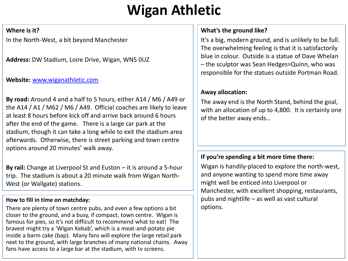# **Wigan Athletic**

#### **Where is it?**

In the North-West, a bit beyond Manchester

**Address:** DW Stadium, Loire Drive, Wigan, WN5 0UZ

# **Website:** [www.wiganathletic.com](http://www.wiganathletic.com/)

**By road:** Around 4 and a half to 5 hours, either A14 / M6 / A49 or the A14 / A1 / M62 / M6 / A49. Official coaches are likely to leave at least 8 hours before kick off and arrive back around 6 hours after the end of the game. There is a large car park at the stadium, though it can take a long while to exit the stadium area afterwards. Otherwise, there is street parking and town centre options around 20 minutes' walk away.

**By rail:** Change at Liverpool St and Euston – it is around a 5-hour trip. The stadium is about a 20 minute walk from Wigan North-West (or Wallgate) stations.

# **How to fill in time on matchday:**

There are plenty of town centre pubs, and even a few options a bit closer to the ground, and a busy, if compact, town centre. Wigan is famous for pies, so it's not difficult to recommend what to eat! The bravest might try a 'Wigan Kebab', which is a meat-and-potato pie inside a barm cake (bap). Many fans will explore the large retail park next to the ground, with large branches of many national chains. Away fans have access to a large bar at the stadium, with tv screens.

# **What's the ground like?**

It's a big, modern ground, and is unlikely to be full. The overwhelming feeling is that it is satisfactorily blue in colour. Outside is a statue of Dave Whelan – the sculptor was Sean Hedges=Quinn, who was responsible for the statues outside Portman Road.

# **Away allocation:**

The away end is the North Stand, behind the goal, with an allocation of up to 4,800. It is certainly one of the better away ends…

# **If you're spending a bit more time there:**

Wigan is handily-placed to explore the north-west, and anyone wanting to spend more time away might well be enticed into Liverpool or Manchester, with excellent shopping, restaurants, pubs and nightlife – as well as vast cultural options.